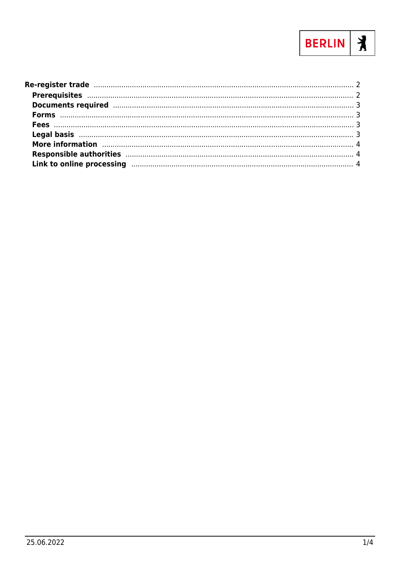

| More information manufactured and all the manufactured and the manufactured and the manufactured and the manufactured and the manufactured and the manufactured and the manufactured and $4$<br>Responsible authorities manufactured and the control of the control of the control of the control of the control of the control of the control of the control of the control of the control of the control of the control of t<br>Link to online processing manufactured and the contract of the processing density of the contract of the contract of the contract of the contract of the contract of the contract of the contract of the contract of the contr |  |
|------------------------------------------------------------------------------------------------------------------------------------------------------------------------------------------------------------------------------------------------------------------------------------------------------------------------------------------------------------------------------------------------------------------------------------------------------------------------------------------------------------------------------------------------------------------------------------------------------------------------------------------------------------------|--|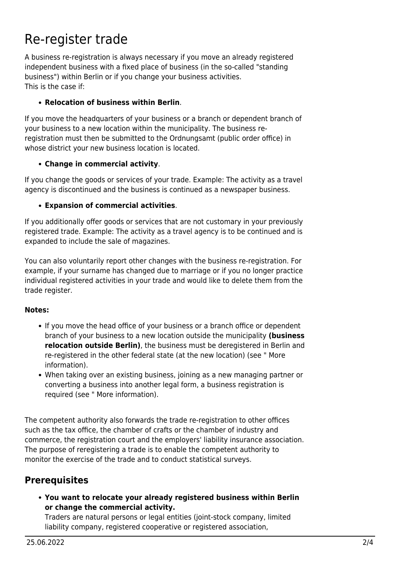# <span id="page-1-0"></span>Re-register trade

A business re-registration is always necessary if you move an already registered independent business with a fixed place of business (in the so-called "standing business") within Berlin or if you change your business activities. This is the case if:

#### **Relocation of business within Berlin**.

If you move the headquarters of your business or a branch or dependent branch of your business to a new location within the municipality. The business reregistration must then be submitted to the Ordnungsamt (public order office) in whose district your new business location is located.

#### **Change in commercial activity**.

If you change the goods or services of your trade. Example: The activity as a travel agency is discontinued and the business is continued as a newspaper business.

#### **Expansion of commercial activities**.

If you additionally offer goods or services that are not customary in your previously registered trade. Example: The activity as a travel agency is to be continued and is expanded to include the sale of magazines.

You can also voluntarily report other changes with the business re-registration. For example, if your surname has changed due to marriage or if you no longer practice individual registered activities in your trade and would like to delete them from the trade register.

#### **Notes:**

- If you move the head office of your business or a branch office or dependent branch of your business to a new location outside the municipality **(business relocation outside Berlin)**, the business must be deregistered in Berlin and re-registered in the other federal state (at the new location) (see " More information).
- When taking over an existing business, joining as a new managing partner or converting a business into another legal form, a business registration is required (see " More information).

The competent authority also forwards the trade re-registration to other offices such as the tax office, the chamber of crafts or the chamber of industry and commerce, the registration court and the employers' liability insurance association. The purpose of reregistering a trade is to enable the competent authority to monitor the exercise of the trade and to conduct statistical surveys.

# <span id="page-1-1"></span>**Prerequisites**

**You want to relocate your already registered business within Berlin or change the commercial activity.**

Traders are natural persons or legal entities (joint-stock company, limited liability company, registered cooperative or registered association,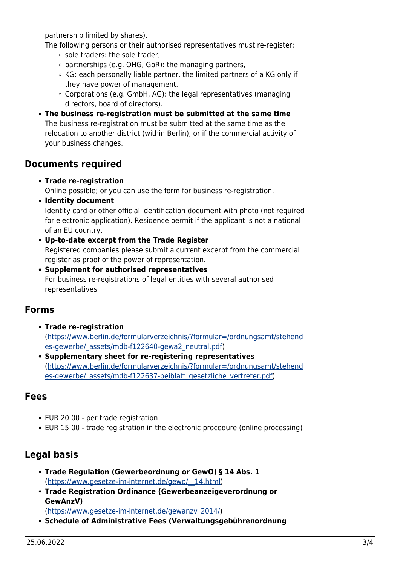partnership limited by shares).

- The following persons or their authorised representatives must re-register: o sole traders: the sole trader,
	- $\circ$  partnerships (e.g. OHG, GbR): the managing partners,
	- KG: each personally liable partner, the limited partners of a KG only if they have power of management.
	- $\circ$  Corporations (e.g. GmbH, AG): the legal representatives (managing directors, board of directors).
- **The business re-registration must be submitted at the same time** The business re-registration must be submitted at the same time as the relocation to another district (within Berlin), or if the commercial activity of your business changes.

#### <span id="page-2-0"></span>**Documents required**

**Trade re-registration**

Online possible; or you can use the form for business re-registration.

**Identity document**

Identity card or other official identification document with photo (not required for electronic application). Residence permit if the applicant is not a national of an EU country.

- **Up-to-date excerpt from the Trade Register** Registered companies please submit a current excerpt from the commercial register as proof of the power of representation.
- **Supplement for authorised representatives** For business re-registrations of legal entities with several authorised representatives

## <span id="page-2-1"></span>**Forms**

- **Trade re-registration** ([https://www.berlin.de/formularverzeichnis/?formular=/ordnungsamt/stehend](https://www.berlin.de/formularverzeichnis/?formular=/ordnungsamt/stehendes-gewerbe/_assets/mdb-f122640-gewa2_neutral.pdf) [es-gewerbe/\\_assets/mdb-f122640-gewa2\\_neutral.pdf\)](https://www.berlin.de/formularverzeichnis/?formular=/ordnungsamt/stehendes-gewerbe/_assets/mdb-f122640-gewa2_neutral.pdf)
- **Supplementary sheet for re-registering representatives** ([https://www.berlin.de/formularverzeichnis/?formular=/ordnungsamt/stehend](https://www.berlin.de/formularverzeichnis/?formular=/ordnungsamt/stehendes-gewerbe/_assets/mdb-f122637-beiblatt_gesetzliche_vertreter.pdf) es-gewerbe/ assets/mdb-f122637-beiblatt gesetzliche vertreter.pdf)

## <span id="page-2-2"></span>**Fees**

- EUR 20.00 per trade registration
- EUR 15.00 trade registration in the electronic procedure (online processing)

# <span id="page-2-3"></span>**Legal basis**

- **Trade Regulation (Gewerbeordnung or GewO) § 14 Abs. 1** ([https://www.gesetze-im-internet.de/gewo/\\_\\_14.html](https://www.gesetze-im-internet.de/gewo/__14.html))
- **Trade Registration Ordinance (Gewerbeanzeigeverordnung or GewAnzV)**

([https://www.gesetze-im-internet.de/gewanzv\\_2014/](https://www.gesetze-im-internet.de/gewanzv_2014/))

**Schedule of Administrative Fees (Verwaltungsgebührenordnung**